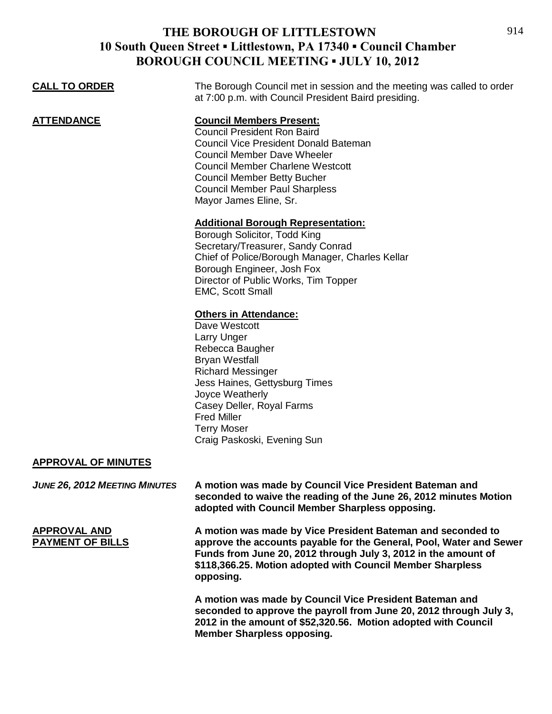#### **THE BOROUGH OF LITTLESTOWN 10 South Queen Street ▪ Littlestown, PA 17340 ▪ Council Chamber BOROUGH COUNCIL MEETING • JULY 10, 2012**

| $\mathbf{U}$ on $\mathbf{U}$ of $\mathbf{U}$ and $\mathbf{U}$ and $\mathbf{U}$ and $\mathbf{U}$ |                                                                                                                                                                                                                                                                                                                |
|-------------------------------------------------------------------------------------------------|----------------------------------------------------------------------------------------------------------------------------------------------------------------------------------------------------------------------------------------------------------------------------------------------------------------|
| <b>CALL TO ORDER</b>                                                                            | The Borough Council met in session and the meeting was called to order<br>at 7:00 p.m. with Council President Baird presiding.                                                                                                                                                                                 |
| <b>ATTENDANCE</b>                                                                               | <b>Council Members Present:</b><br><b>Council President Ron Baird</b><br><b>Council Vice President Donald Bateman</b><br><b>Council Member Dave Wheeler</b><br><b>Council Member Charlene Westcott</b><br><b>Council Member Betty Bucher</b><br><b>Council Member Paul Sharpless</b><br>Mayor James Eline, Sr. |
|                                                                                                 | <b>Additional Borough Representation:</b><br>Borough Solicitor, Todd King<br>Secretary/Treasurer, Sandy Conrad<br>Chief of Police/Borough Manager, Charles Kellar<br>Borough Engineer, Josh Fox<br>Director of Public Works, Tim Topper<br><b>EMC, Scott Small</b>                                             |
|                                                                                                 | <b>Others in Attendance:</b><br>Dave Westcott<br>Larry Unger<br>Rebecca Baugher<br><b>Bryan Westfall</b><br><b>Richard Messinger</b><br>Jess Haines, Gettysburg Times<br>Joyce Weatherly<br>Casey Deller, Royal Farms<br><b>Fred Miller</b><br><b>Terry Moser</b><br>Craig Paskoski, Evening Sun               |
| <b>APPROVAL OF MINUTES</b>                                                                      |                                                                                                                                                                                                                                                                                                                |
| <b>JUNE 26, 2012 MEETING MINUTES</b>                                                            | A motion was made by Council Vice President Bateman and<br>seconded to waive the reading of the June 26, 2012 minutes Motion<br>adopted with Council Member Sharpless opposing.                                                                                                                                |
| <b>APPROVAL AND</b><br><b>PAYMENT OF BILLS</b>                                                  | A motion was made by Vice President Bateman and seconded to<br>approve the accounts payable for the General, Pool, Water and Sewer<br>Funds from June 20, 2012 through July 3, 2012 in the amount of<br>\$118,366.25. Motion adopted with Council Member Sharpless                                             |

**opposing.**

**A motion was made by Council Vice President Bateman and seconded to approve the payroll from June 20, 2012 through July 3, 2012 in the amount of \$52,320.56. Motion adopted with Council Member Sharpless opposing.**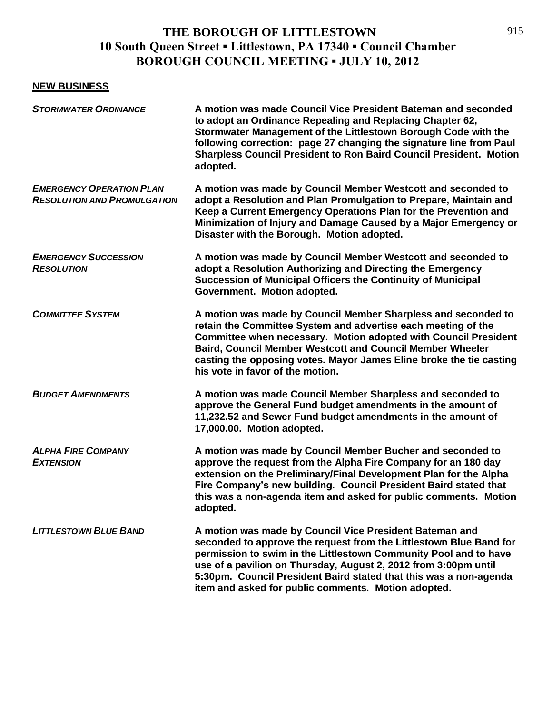# **THE BOROUGH OF LITTLESTOWN 10 South Queen Street ▪ Littlestown, PA 17340 ▪ Council Chamber BOROUGH COUNCIL MEETING ▪ JULY 10, 2012**

#### **NEW BUSINESS**

| <b>STORMWATER ORDINANCE</b>                                           | A motion was made Council Vice President Bateman and seconded<br>to adopt an Ordinance Repealing and Replacing Chapter 62,<br>Stormwater Management of the Littlestown Borough Code with the<br>following correction: page 27 changing the signature line from Paul<br><b>Sharpless Council President to Ron Baird Council President. Motion</b><br>adopted.                                     |
|-----------------------------------------------------------------------|--------------------------------------------------------------------------------------------------------------------------------------------------------------------------------------------------------------------------------------------------------------------------------------------------------------------------------------------------------------------------------------------------|
| <b>EMERGENCY OPERATION PLAN</b><br><b>RESOLUTION AND PROMULGATION</b> | A motion was made by Council Member Westcott and seconded to<br>adopt a Resolution and Plan Promulgation to Prepare, Maintain and<br>Keep a Current Emergency Operations Plan for the Prevention and<br>Minimization of Injury and Damage Caused by a Major Emergency or<br>Disaster with the Borough. Motion adopted.                                                                           |
| <b>EMERGENCY SUCCESSION</b><br><b>RESOLUTION</b>                      | A motion was made by Council Member Westcott and seconded to<br>adopt a Resolution Authorizing and Directing the Emergency<br>Succession of Municipal Officers the Continuity of Municipal<br>Government. Motion adopted.                                                                                                                                                                        |
| <b>COMMITTEE SYSTEM</b>                                               | A motion was made by Council Member Sharpless and seconded to<br>retain the Committee System and advertise each meeting of the<br>Committee when necessary. Motion adopted with Council President<br><b>Baird, Council Member Westcott and Council Member Wheeler</b><br>casting the opposing votes. Mayor James Eline broke the tie casting<br>his vote in favor of the motion.                 |
| <b>BUDGET AMENDMENTS</b>                                              | A motion was made Council Member Sharpless and seconded to<br>approve the General Fund budget amendments in the amount of<br>11,232.52 and Sewer Fund budget amendments in the amount of<br>17,000.00. Motion adopted.                                                                                                                                                                           |
| <b>ALPHA FIRE COMPANY</b><br><b>EXTENSION</b>                         | A motion was made by Council Member Bucher and seconded to<br>approve the request from the Alpha Fire Company for an 180 day<br>extension on the Preliminary/Final Development Plan for the Alpha<br>Fire Company's new building. Council President Baird stated that<br>this was a non-agenda item and asked for public comments. Motion<br>adopted.                                            |
| <b>LITTLESTOWN BLUE BAND</b>                                          | A motion was made by Council Vice President Bateman and<br>seconded to approve the request from the Littlestown Blue Band for<br>permission to swim in the Littlestown Community Pool and to have<br>use of a pavilion on Thursday, August 2, 2012 from 3:00pm until<br>5:30pm. Council President Baird stated that this was a non-agenda<br>item and asked for public comments. Motion adopted. |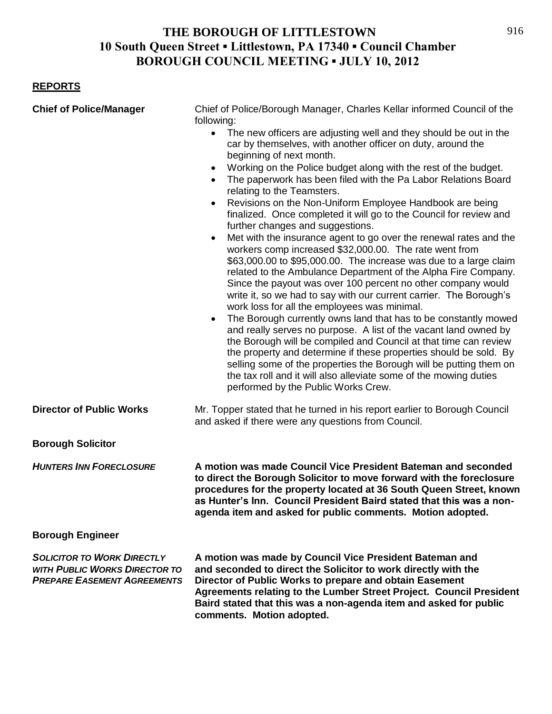## **THE BOROUGH OF LITTLESTOWN 10 South Queen Street ▪ Littlestown, PA 17340 ▪ Council Chamber BOROUGH COUNCIL MEETING ▪ JULY 10, 2012**

#### **REPORTS**

| <b>Chief of Police/Manager</b>                                                                                  | Chief of Police/Borough Manager, Charles Kellar informed Council of the<br>following:                                                                                                                                                                                                                                                                                                                                                                                                                                                                                                                                                                                                                                                                                                                                                                                                                                                                                                                                                                                                                                                                                                                                                                                                                                                                                                                                                                                                                |
|-----------------------------------------------------------------------------------------------------------------|------------------------------------------------------------------------------------------------------------------------------------------------------------------------------------------------------------------------------------------------------------------------------------------------------------------------------------------------------------------------------------------------------------------------------------------------------------------------------------------------------------------------------------------------------------------------------------------------------------------------------------------------------------------------------------------------------------------------------------------------------------------------------------------------------------------------------------------------------------------------------------------------------------------------------------------------------------------------------------------------------------------------------------------------------------------------------------------------------------------------------------------------------------------------------------------------------------------------------------------------------------------------------------------------------------------------------------------------------------------------------------------------------------------------------------------------------------------------------------------------------|
|                                                                                                                 | $\bullet$<br>The new officers are adjusting well and they should be out in the<br>car by themselves, with another officer on duty, around the<br>beginning of next month.<br>Working on the Police budget along with the rest of the budget.<br>$\bullet$<br>The paperwork has been filed with the Pa Labor Relations Board<br>$\bullet$<br>relating to the Teamsters.<br>Revisions on the Non-Uniform Employee Handbook are being<br>$\bullet$<br>finalized. Once completed it will go to the Council for review and<br>further changes and suggestions.<br>Met with the insurance agent to go over the renewal rates and the<br>workers comp increased \$32,000.00. The rate went from<br>\$63,000.00 to \$95,000.00. The increase was due to a large claim<br>related to the Ambulance Department of the Alpha Fire Company.<br>Since the payout was over 100 percent no other company would<br>write it, so we had to say with our current carrier. The Borough's<br>work loss for all the employees was minimal.<br>The Borough currently owns land that has to be constantly mowed<br>$\bullet$<br>and really serves no purpose. A list of the vacant land owned by<br>the Borough will be compiled and Council at that time can review<br>the property and determine if these properties should be sold. By<br>selling some of the properties the Borough will be putting them on<br>the tax roll and it will also alleviate some of the mowing duties<br>performed by the Public Works Crew. |
| <b>Director of Public Works</b>                                                                                 | Mr. Topper stated that he turned in his report earlier to Borough Council<br>and asked if there were any questions from Council.                                                                                                                                                                                                                                                                                                                                                                                                                                                                                                                                                                                                                                                                                                                                                                                                                                                                                                                                                                                                                                                                                                                                                                                                                                                                                                                                                                     |
| <b>Borough Solicitor</b>                                                                                        |                                                                                                                                                                                                                                                                                                                                                                                                                                                                                                                                                                                                                                                                                                                                                                                                                                                                                                                                                                                                                                                                                                                                                                                                                                                                                                                                                                                                                                                                                                      |
| <b>HUNTERS INN FORECLOSURE</b>                                                                                  | A motion was made Council Vice President Bateman and seconded<br>to direct the Borough Solicitor to move forward with the foreclosure<br>procedures for the property located at 36 South Queen Street, known<br>as Hunter's Inn. Council President Baird stated that this was a non-<br>agenda item and asked for public comments. Motion adopted.                                                                                                                                                                                                                                                                                                                                                                                                                                                                                                                                                                                                                                                                                                                                                                                                                                                                                                                                                                                                                                                                                                                                                   |
| <b>Borough Engineer</b>                                                                                         |                                                                                                                                                                                                                                                                                                                                                                                                                                                                                                                                                                                                                                                                                                                                                                                                                                                                                                                                                                                                                                                                                                                                                                                                                                                                                                                                                                                                                                                                                                      |
| <b>SOLICITOR TO WORK DIRECTLY</b><br><b>WITH PUBLIC WORKS DIRECTOR TO</b><br><b>PREPARE EASEMENT AGREEMENTS</b> | A motion was made by Council Vice President Bateman and<br>and seconded to direct the Solicitor to work directly with the<br>Director of Public Works to prepare and obtain Easement<br>Agreements relating to the Lumber Street Project. Council President<br>Baird stated that this was a non-agenda item and asked for public<br>comments. Motion adopted.                                                                                                                                                                                                                                                                                                                                                                                                                                                                                                                                                                                                                                                                                                                                                                                                                                                                                                                                                                                                                                                                                                                                        |